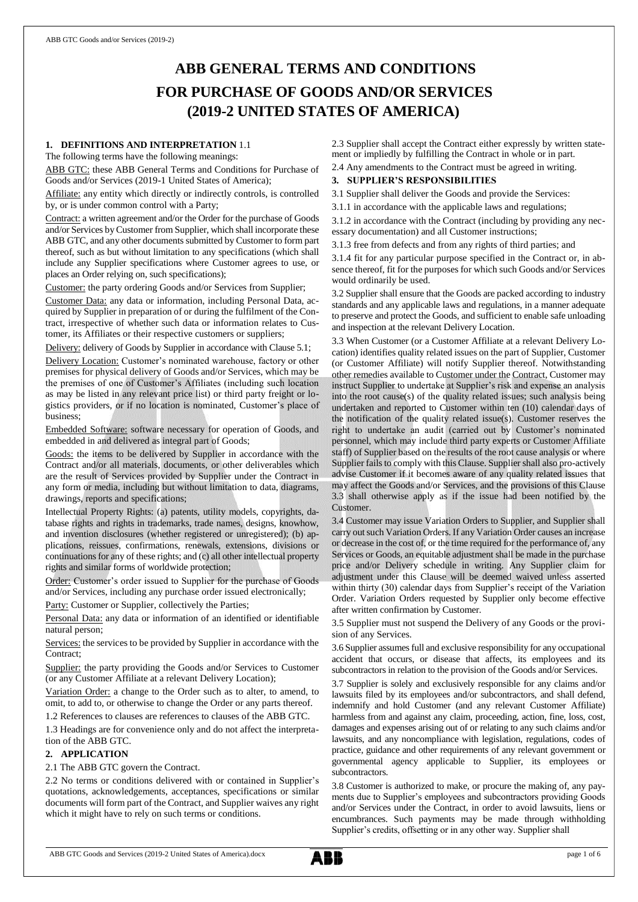# **ABB GENERAL TERMS AND CONDITIONS FOR PURCHASE OF GOODS AND/OR SERVICES (2019-2 UNITED STATES OF AMERICA)**

## **1. DEFINITIONS AND INTERPRETATION** 1.1

The following terms have the following meanings:

ABB GTC: these ABB General Terms and Conditions for Purchase of Goods and/or Services (2019-1 United States of America);

Affiliate: any entity which directly or indirectly controls, is controlled by, or is under common control with a Party;

Contract: a written agreement and/or the Order for the purchase of Goods and/or Services by Customer from Supplier, which shall incorporate these ABB GTC, and any other documents submitted by Customer to form part thereof, such as but without limitation to any specifications (which shall include any Supplier specifications where Customer agrees to use, or places an Order relying on, such specifications);

Customer: the party ordering Goods and/or Services from Supplier;

Customer Data: any data or information, including Personal Data, acquired by Supplier in preparation of or during the fulfilment of the Contract, irrespective of whether such data or information relates to Customer, its Affiliates or their respective customers or suppliers;

Delivery: delivery of Goods by Supplier in accordance with Clause 5.1;

Delivery Location: Customer's nominated warehouse, factory or other premises for physical delivery of Goods and/or Services, which may be the premises of one of Customer's Affiliates (including such location as may be listed in any relevant price list) or third party freight or logistics providers, or if no location is nominated, Customer's place of business;

Embedded Software: software necessary for operation of Goods, and embedded in and delivered as integral part of Goods;

Goods: the items to be delivered by Supplier in accordance with the Contract and/or all materials, documents, or other deliverables which are the result of Services provided by Supplier under the Contract in any form or media, including but without limitation to data, diagrams, drawings, reports and specifications;

Intellectual Property Rights: (a) patents, utility models, copyrights, database rights and rights in trademarks, trade names, designs, knowhow, and invention disclosures (whether registered or unregistered); (b) applications, reissues, confirmations, renewals, extensions, divisions or continuations for any of these rights; and (c) all other intellectual property rights and similar forms of worldwide protection;

Order: Customer's order issued to Supplier for the purchase of Goods and/or Services, including any purchase order issued electronically;

Party: Customer or Supplier, collectively the Parties;

Personal Data: any data or information of an identified or identifiable natural person;

Services: the services to be provided by Supplier in accordance with the Contract;

Supplier: the party providing the Goods and/or Services to Customer (or any Customer Affiliate at a relevant Delivery Location);

Variation Order: a change to the Order such as to alter, to amend, to omit, to add to, or otherwise to change the Order or any parts thereof.

1.2 References to clauses are references to clauses of the ABB GTC.

1.3 Headings are for convenience only and do not affect the interpretation of the ABB GTC.

## **2. APPLICATION**

#### 2.1 The ABB GTC govern the Contract.

2.2 No terms or conditions delivered with or contained in Supplier's quotations, acknowledgements, acceptances, specifications or similar documents will form part of the Contract, and Supplier waives any right which it might have to rely on such terms or conditions.

2.3 Supplier shall accept the Contract either expressly by written statement or impliedly by fulfilling the Contract in whole or in part.

2.4 Any amendments to the Contract must be agreed in writing.

# **3. SUPPLIER'S RESPONSIBILITIES**

3.1 Supplier shall deliver the Goods and provide the Services:

3.1.1 in accordance with the applicable laws and regulations;

3.1.2 in accordance with the Contract (including by providing any necessary documentation) and all Customer instructions;

3.1.3 free from defects and from any rights of third parties; and

3.1.4 fit for any particular purpose specified in the Contract or, in absence thereof, fit for the purposes for which such Goods and/or Services would ordinarily be used.

3.2 Supplier shall ensure that the Goods are packed according to industry standards and any applicable laws and regulations, in a manner adequate to preserve and protect the Goods, and sufficient to enable safe unloading and inspection at the relevant Delivery Location.

3.3 When Customer (or a Customer Affiliate at a relevant Delivery Location) identifies quality related issues on the part of Supplier, Customer (or Customer Affiliate) will notify Supplier thereof. Notwithstanding other remedies available to Customer under the Contract, Customer may instruct Supplier to undertake at Supplier's risk and expense an analysis into the root cause(s) of the quality related issues; such analysis being undertaken and reported to Customer within ten (10) calendar days of the notification of the quality related issue(s). Customer reserves the right to undertake an audit (carried out by Customer's nominated personnel, which may include third party experts or Customer Affiliate staff) of Supplier based on the results of the root cause analysis or where Supplier fails to comply with this Clause. Supplier shall also pro-actively advise Customer if it becomes aware of any quality related issues that may affect the Goods and/or Services, and the provisions of this Clause 3.3 shall otherwise apply as if the issue had been notified by the Customer.

3.4 Customer may issue Variation Orders to Supplier, and Supplier shall carry out such Variation Orders. If any Variation Order causes an increase or decrease in the cost of, or the time required for the performance of, any Services or Goods, an equitable adjustment shall be made in the purchase price and/or Delivery schedule in writing. Any Supplier claim for adjustment under this Clause will be deemed waived unless asserted within thirty (30) calendar days from Supplier's receipt of the Variation Order. Variation Orders requested by Supplier only become effective after written confirmation by Customer.

3.5 Supplier must not suspend the Delivery of any Goods or the provision of any Services.

3.6 Supplier assumes full and exclusive responsibility for any occupational accident that occurs, or disease that affects, its employees and its subcontractors in relation to the provision of the Goods and/or Services.

3.7 Supplier is solely and exclusively responsible for any claims and/or lawsuits filed by its employees and/or subcontractors, and shall defend, indemnify and hold Customer (and any relevant Customer Affiliate) harmless from and against any claim, proceeding, action, fine, loss, cost, damages and expenses arising out of or relating to any such claims and/or lawsuits, and any noncompliance with legislation, regulations, codes of practice, guidance and other requirements of any relevant government or governmental agency applicable to Supplier, its employees or subcontractors.

3.8 Customer is authorized to make, or procure the making of, any payments due to Supplier's employees and subcontractors providing Goods and/or Services under the Contract, in order to avoid lawsuits, liens or encumbrances. Such payments may be made through withholding Supplier's credits, offsetting or in any other way. Supplier shall

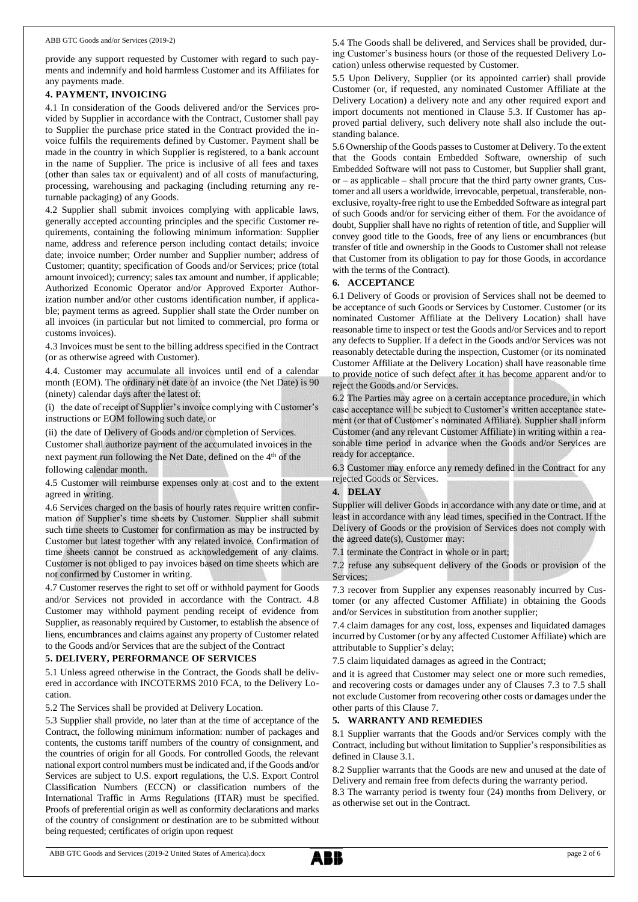provide any support requested by Customer with regard to such payments and indemnify and hold harmless Customer and its Affiliates for any payments made.

## **4. PAYMENT, INVOICING**

4.1 In consideration of the Goods delivered and/or the Services provided by Supplier in accordance with the Contract, Customer shall pay to Supplier the purchase price stated in the Contract provided the invoice fulfils the requirements defined by Customer. Payment shall be made in the country in which Supplier is registered, to a bank account in the name of Supplier. The price is inclusive of all fees and taxes (other than sales tax or equivalent) and of all costs of manufacturing, processing, warehousing and packaging (including returning any returnable packaging) of any Goods.

4.2 Supplier shall submit invoices complying with applicable laws, generally accepted accounting principles and the specific Customer requirements, containing the following minimum information: Supplier name, address and reference person including contact details; invoice date; invoice number; Order number and Supplier number; address of Customer; quantity; specification of Goods and/or Services; price (total amount invoiced); currency; sales tax amount and number, if applicable; Authorized Economic Operator and/or Approved Exporter Authorization number and/or other customs identification number, if applicable; payment terms as agreed. Supplier shall state the Order number on all invoices (in particular but not limited to commercial, pro forma or customs invoices).

4.3 Invoices must be sent to the billing address specified in the Contract (or as otherwise agreed with Customer).

4.4. Customer may accumulate all invoices until end of a calendar month (EOM). The ordinary net date of an invoice (the Net Date) is 90 (ninety) calendar days after the latest of:

(i) the date of receipt of Supplier's invoice complying with Customer's instructions or EOM following such date, or

(ii) the date of Delivery of Goods and/or completion of Services.

Customer shall authorize payment of the accumulated invoices in the next payment run following the Net Date, defined on the 4<sup>th</sup> of the following calendar month.

4.5 Customer will reimburse expenses only at cost and to the extent agreed in writing.

4.6 Services charged on the basis of hourly rates require written confirmation of Supplier's time sheets by Customer. Supplier shall submit such time sheets to Customer for confirmation as may be instructed by Customer but latest together with any related invoice. Confirmation of time sheets cannot be construed as acknowledgement of any claims. Customer is not obliged to pay invoices based on time sheets which are not confirmed by Customer in writing.

4.7 Customer reserves the right to set off or withhold payment for Goods and/or Services not provided in accordance with the Contract. 4.8 Customer may withhold payment pending receipt of evidence from Supplier, as reasonably required by Customer, to establish the absence of liens, encumbrances and claims against any property of Customer related to the Goods and/or Services that are the subject of the Contract

#### **5. DELIVERY, PERFORMANCE OF SERVICES**

5.1 Unless agreed otherwise in the Contract, the Goods shall be delivered in accordance with INCOTERMS 2010 FCA, to the Delivery Location.

5.2 The Services shall be provided at Delivery Location.

5.3 Supplier shall provide, no later than at the time of acceptance of the Contract, the following minimum information: number of packages and contents, the customs tariff numbers of the country of consignment, and the countries of origin for all Goods. For controlled Goods, the relevant national export control numbers must be indicated and, if the Goods and/or Services are subject to U.S. export regulations, the U.S. Export Control Classification Numbers (ECCN) or classification numbers of the International Traffic in Arms Regulations (ITAR) must be specified. Proofs of preferential origin as well as conformity declarations and marks of the country of consignment or destination are to be submitted without being requested; certificates of origin upon request

5.4 The Goods shall be delivered, and Services shall be provided, during Customer's business hours (or those of the requested Delivery Location) unless otherwise requested by Customer.

5.5 Upon Delivery, Supplier (or its appointed carrier) shall provide Customer (or, if requested, any nominated Customer Affiliate at the Delivery Location) a delivery note and any other required export and import documents not mentioned in Clause 5.3. If Customer has approved partial delivery, such delivery note shall also include the outstanding balance.

5.6 Ownership of the Goods passes to Customer at Delivery. To the extent that the Goods contain Embedded Software, ownership of such Embedded Software will not pass to Customer, but Supplier shall grant, or – as applicable – shall procure that the third party owner grants, Customer and all users a worldwide, irrevocable, perpetual, transferable, nonexclusive, royalty-free right to use the Embedded Software as integral part of such Goods and/or for servicing either of them. For the avoidance of doubt, Supplier shall have no rights of retention of title, and Supplier will convey good title to the Goods, free of any liens or encumbrances (but transfer of title and ownership in the Goods to Customer shall not release that Customer from its obligation to pay for those Goods, in accordance with the terms of the Contract).

## **6. ACCEPTANCE**

6.1 Delivery of Goods or provision of Services shall not be deemed to be acceptance of such Goods or Services by Customer. Customer (or its nominated Customer Affiliate at the Delivery Location) shall have reasonable time to inspect or test the Goods and/or Services and to report any defects to Supplier. If a defect in the Goods and/or Services was not reasonably detectable during the inspection, Customer (or its nominated Customer Affiliate at the Delivery Location) shall have reasonable time to provide notice of such defect after it has become apparent and/or to reject the Goods and/or Services.

6.2 The Parties may agree on a certain acceptance procedure, in which case acceptance will be subject to Customer's written acceptance statement (or that of Customer's nominated Affiliate). Supplier shall inform Customer (and any relevant Customer Affiliate) in writing within a reasonable time period in advance when the Goods and/or Services are ready for acceptance.

6.3 Customer may enforce any remedy defined in the Contract for any rejected Goods or Services.

# **4. DELAY**

Supplier will deliver Goods in accordance with any date or time, and at least in accordance with any lead times, specified in the Contract. If the Delivery of Goods or the provision of Services does not comply with the agreed date(s), Customer may:

7.1 terminate the Contract in whole or in part;

7.2 refuse any subsequent delivery of the Goods or provision of the Services;

7.3 recover from Supplier any expenses reasonably incurred by Customer (or any affected Customer Affiliate) in obtaining the Goods and/or Services in substitution from another supplier;

7.4 claim damages for any cost, loss, expenses and liquidated damages incurred by Customer (or by any affected Customer Affiliate) which are attributable to Supplier's delay;

7.5 claim liquidated damages as agreed in the Contract;

and it is agreed that Customer may select one or more such remedies, and recovering costs or damages under any of Clauses 7.3 to 7.5 shall not exclude Customer from recovering other costs or damages under the other parts of this Clause 7.

#### **5. WARRANTY AND REMEDIES**

8.1 Supplier warrants that the Goods and/or Services comply with the Contract, including but without limitation to Supplier's responsibilities as defined in Clause 3.1.

8.2 Supplier warrants that the Goods are new and unused at the date of Delivery and remain free from defects during the warranty period.

8.3 The warranty period is twenty four (24) months from Delivery, or as otherwise set out in the Contract.

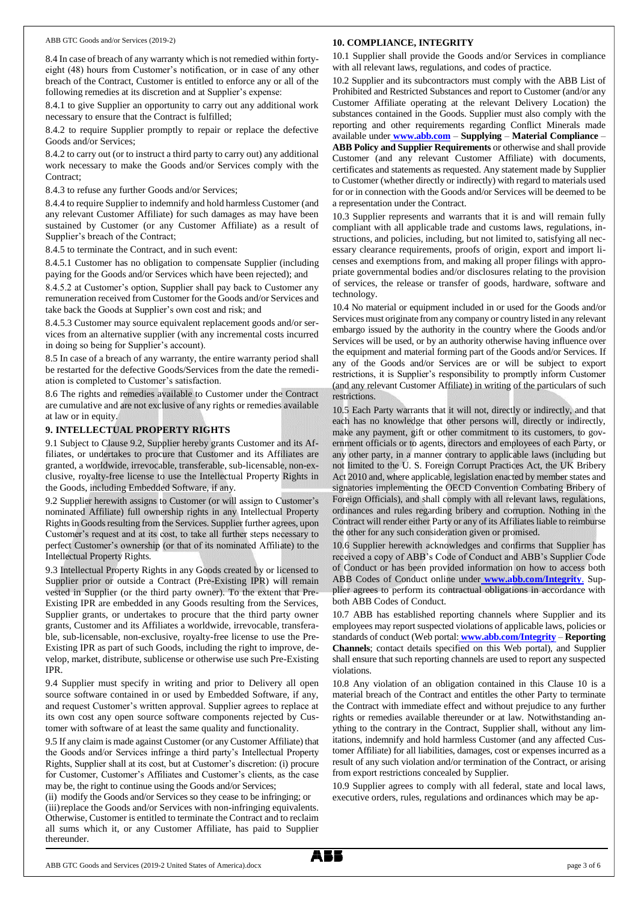#### ABB GTC Goods and/or Services (2019-2)

#### **10. COMPLIANCE, INTEGRITY**

8.4 In case of breach of any warranty which is not remedied within fortyeight (48) hours from Customer's notification, or in case of any other breach of the Contract, Customer is entitled to enforce any or all of the following remedies at its discretion and at Supplier's expense:

8.4.1 to give Supplier an opportunity to carry out any additional work necessary to ensure that the Contract is fulfilled;

8.4.2 to require Supplier promptly to repair or replace the defective Goods and/or Services;

8.4.2 to carry out (or to instruct a third party to carry out) any additional work necessary to make the Goods and/or Services comply with the Contract;

8.4.3 to refuse any further Goods and/or Services;

8.4.4 to require Supplier to indemnify and hold harmless Customer (and any relevant Customer Affiliate) for such damages as may have been sustained by Customer (or any Customer Affiliate) as a result of Supplier's breach of the Contract;

8.4.5 to terminate the Contract, and in such event:

8.4.5.1 Customer has no obligation to compensate Supplier (including paying for the Goods and/or Services which have been rejected); and

8.4.5.2 at Customer's option, Supplier shall pay back to Customer any remuneration received from Customer for the Goods and/or Services and take back the Goods at Supplier's own cost and risk; and

8.4.5.3 Customer may source equivalent replacement goods and/or services from an alternative supplier (with any incremental costs incurred in doing so being for Supplier's account).

8.5 In case of a breach of any warranty, the entire warranty period shall be restarted for the defective Goods/Services from the date the remediation is completed to Customer's satisfaction.

8.6 The rights and remedies available to Customer under the Contract are cumulative and are not exclusive of any rights or remedies available at law or in equity.

#### **9. INTELLECTUAL PROPERTY RIGHTS**

9.1 Subject to Clause 9.2, Supplier hereby grants Customer and its Affiliates, or undertakes to procure that Customer and its Affiliates are granted, a worldwide, irrevocable, transferable, sub-licensable, non-exclusive, royalty-free license to use the Intellectual Property Rights in the Goods, including Embedded Software, if any.

9.2 Supplier herewith assigns to Customer (or will assign to Customer's nominated Affiliate) full ownership rights in any Intellectual Property Rights in Goods resulting from the Services. Supplier further agrees, upon Customer's request and at its cost, to take all further steps necessary to perfect Customer's ownership (or that of its nominated Affiliate) to the Intellectual Property Rights.

9.3 Intellectual Property Rights in any Goods created by or licensed to Supplier prior or outside a Contract (Pre-Existing IPR) will remain vested in Supplier (or the third party owner). To the extent that Pre-Existing IPR are embedded in any Goods resulting from the Services, Supplier grants, or undertakes to procure that the third party owner grants, Customer and its Affiliates a worldwide, irrevocable, transferable, sub-licensable, non-exclusive, royalty-free license to use the Pre-Existing IPR as part of such Goods, including the right to improve, develop, market, distribute, sublicense or otherwise use such Pre-Existing IPR.

9.4 Supplier must specify in writing and prior to Delivery all open source software contained in or used by Embedded Software, if any, and request Customer's written approval. Supplier agrees to replace at its own cost any open source software components rejected by Customer with software of at least the same quality and functionality.

9.5 If any claim is made against Customer (or any Customer Affiliate) that the Goods and/or Services infringe a third party's Intellectual Property Rights, Supplier shall at its cost, but at Customer's discretion: (i) procure for Customer, Customer's Affiliates and Customer's clients, as the case may be, the right to continue using the Goods and/or Services;

(ii) modify the Goods and/or Services so they cease to be infringing; or (iii)replace the Goods and/or Services with non-infringing equivalents. Otherwise, Customer is entitled to terminate the Contract and to reclaim all sums which it, or any Customer Affiliate, has paid to Supplier thereunder.

10.1 Supplier shall provide the Goods and/or Services in compliance with all relevant laws, regulations, and codes of practice.

10.2 Supplier and its subcontractors must comply with the ABB List of Prohibited and Restricted Substances and report to Customer (and/or any Customer Affiliate operating at the relevant Delivery Location) the substances contained in the Goods. Supplier must also comply with the reporting and other requirements regarding Conflict Minerals made available under **[www.abb.com](http://www.abb.com/)** – **Supplying** – **Material Compliance** – **ABB Policy and Supplier Requirements** or otherwise and shall provide Customer (and any relevant Customer Affiliate) with documents, certificates and statements as requested. Any statement made by Supplier to Customer (whether directly or indirectly) with regard to materials used for or in connection with the Goods and/or Services will be deemed to be a representation under the Contract.

10.3 Supplier represents and warrants that it is and will remain fully compliant with all applicable trade and customs laws, regulations, instructions, and policies, including, but not limited to, satisfying all necessary clearance requirements, proofs of origin, export and import licenses and exemptions from, and making all proper filings with appropriate governmental bodies and/or disclosures relating to the provision of services, the release or transfer of goods, hardware, software and technology.

10.4 No material or equipment included in or used for the Goods and/or Services must originate from any company or country listed in any relevant embargo issued by the authority in the country where the Goods and/or Services will be used, or by an authority otherwise having influence over the equipment and material forming part of the Goods and/or Services. If any of the Goods and/or Services are or will be subject to export restrictions, it is Supplier's responsibility to promptly inform Customer (and any relevant Customer Affiliate) in writing of the particulars of such restrictions.

10.5 Each Party warrants that it will not, directly or indirectly, and that each has no knowledge that other persons will, directly or indirectly, make any payment, gift or other commitment to its customers, to government officials or to agents, directors and employees of each Party, or any other party, in a manner contrary to applicable laws (including but not limited to the U. S. Foreign Corrupt Practices Act, the UK Bribery Act 2010 and, where applicable, legislation enacted by member states and signatories implementing the OECD Convention Combating Bribery of Foreign Officials), and shall comply with all relevant laws, regulations, ordinances and rules regarding bribery and corruption. Nothing in the Contract will render either Party or any of its Affiliates liable to reimburse the other for any such consideration given or promised.

10.6 Supplier herewith acknowledges and confirms that Supplier has received a copy of ABB's Code of Conduct and ABB's Supplier Code of Conduct or has been provided information on how to access both ABB Codes of Conduct online under **[www.abb.com/Integrity](http://www.abb.com/Integrity)**. Supplier agrees to perform its contractual obligations in accordance with both ABB Codes of Conduct.

10.7 ABB has established reporting channels where Supplier and its employees may report suspected violations of applicable laws, policies or standards of conduct (Web portal: **[www.abb.com/Integrity](http://www.abb.com/Integrity)** – **Reporting Channels**; contact details specified on this Web portal), and Supplier shall ensure that such reporting channels are used to report any suspected violations.

10.8 Any violation of an obligation contained in this Clause 10 is a material breach of the Contract and entitles the other Party to terminate the Contract with immediate effect and without prejudice to any further rights or remedies available thereunder or at law. Notwithstanding anything to the contrary in the Contract, Supplier shall, without any limitations, indemnify and hold harmless Customer (and any affected Customer Affiliate) for all liabilities, damages, cost or expenses incurred as a result of any such violation and/or termination of the Contract, or arising from export restrictions concealed by Supplier.

10.9 Supplier agrees to comply with all federal, state and local laws, executive orders, rules, regulations and ordinances which may be ap-

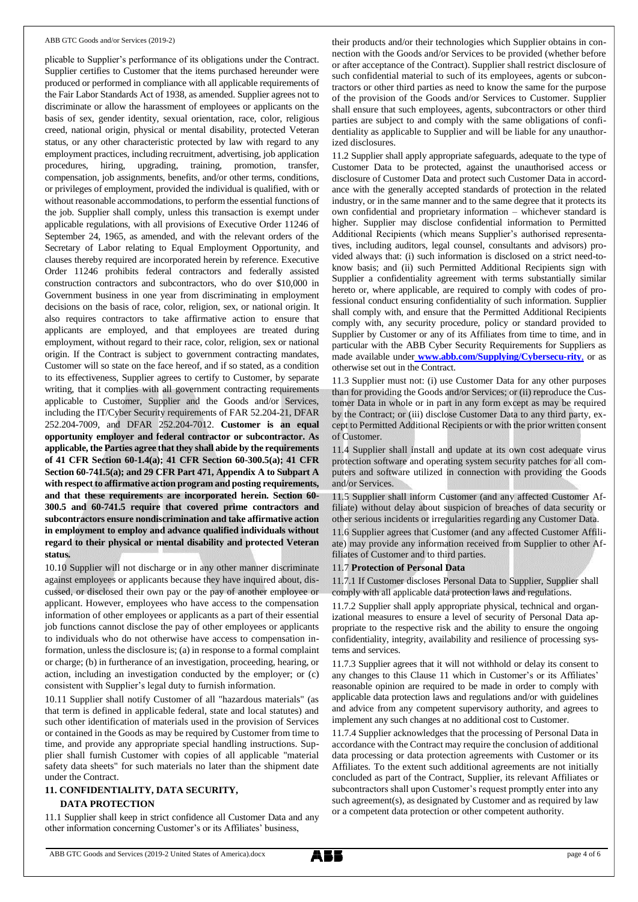#### ABB GTC Goods and/or Services (2019-2)

plicable to Supplier's performance of its obligations under the Contract. Supplier certifies to Customer that the items purchased hereunder were produced or performed in compliance with all applicable requirements of the Fair Labor Standards Act of 1938, as amended. Supplier agrees not to discriminate or allow the harassment of employees or applicants on the basis of sex, gender identity, sexual orientation, race, color, religious creed, national origin, physical or mental disability, protected Veteran status, or any other characteristic protected by law with regard to any employment practices, including recruitment, advertising, job application procedures, hiring, upgrading, training, promotion, transfer, compensation, job assignments, benefits, and/or other terms, conditions, or privileges of employment, provided the individual is qualified, with or without reasonable accommodations, to perform the essential functions of the job. Supplier shall comply, unless this transaction is exempt under applicable regulations, with all provisions of Executive Order 11246 of September 24, 1965, as amended, and with the relevant orders of the Secretary of Labor relating to Equal Employment Opportunity, and clauses thereby required are incorporated herein by reference. Executive Order 11246 prohibits federal contractors and federally assisted construction contractors and subcontractors, who do over \$10,000 in Government business in one year from discriminating in employment decisions on the basis of race, color, religion, sex, or national origin. It also requires contractors to take affirmative action to ensure that applicants are employed, and that employees are treated during employment, without regard to their race, color, religion, sex or national origin. If the Contract is subject to government contracting mandates, Customer will so state on the face hereof, and if so stated, as a condition to its effectiveness, Supplier agrees to certify to Customer, by separate writing, that it complies with all government contracting requirements applicable to Customer, Supplier and the Goods and/or Services, including the IT/Cyber Security requirements of FAR 52.204-21, DFAR 252.204-7009, and DFAR 252.204-7012. **Customer is an equal opportunity employer and federal contractor or subcontractor. As applicable, the Parties agree that they shall abide by the requirements of 41 CFR Section 60-1.4(a); 41 CFR Section 60-300.5(a); 41 CFR Section 60-741.5(a); and 29 CFR Part 471, Appendix A to Subpart A with respect to affirmative action program and posting requirements, and that these requirements are incorporated herein. Section 60- 300.5 and 60-741.5 require that covered prime contractors and subcontractors ensure nondiscrimination and take affirmative action in employment to employ and advance qualified individuals without regard to their physical or mental disability and protected Veteran status.**

10.10 Supplier will not discharge or in any other manner discriminate against employees or applicants because they have inquired about, discussed, or disclosed their own pay or the pay of another employee or applicant. However, employees who have access to the compensation information of other employees or applicants as a part of their essential job functions cannot disclose the pay of other employees or applicants to individuals who do not otherwise have access to compensation information, unless the disclosure is; (a) in response to a formal complaint or charge; (b) in furtherance of an investigation, proceeding, hearing, or action, including an investigation conducted by the employer; or (c) consistent with Supplier's legal duty to furnish information.

10.11 Supplier shall notify Customer of all "hazardous materials" (as that term is defined in applicable federal, state and local statutes) and such other identification of materials used in the provision of Services or contained in the Goods as may be required by Customer from time to time, and provide any appropriate special handling instructions. Supplier shall furnish Customer with copies of all applicable "material safety data sheets" for such materials no later than the shipment date under the Contract.

## **11. CONFIDENTIALITY, DATA SECURITY, DATA PROTECTION**

## 11.1 Supplier shall keep in strict confidence all Customer Data and any other information concerning Customer's or its Affiliates' business,

their products and/or their technologies which Supplier obtains in connection with the Goods and/or Services to be provided (whether before or after acceptance of the Contract). Supplier shall restrict disclosure of such confidential material to such of its employees, agents or subcontractors or other third parties as need to know the same for the purpose of the provision of the Goods and/or Services to Customer. Supplier shall ensure that such employees, agents, subcontractors or other third parties are subject to and comply with the same obligations of confidentiality as applicable to Supplier and will be liable for any unauthorized disclosures.

11.2 Supplier shall apply appropriate safeguards, adequate to the type of Customer Data to be protected, against the unauthorised access or disclosure of Customer Data and protect such Customer Data in accordance with the generally accepted standards of protection in the related industry, or in the same manner and to the same degree that it protects its own confidential and proprietary information – whichever standard is higher. Supplier may disclose confidential information to Permitted Additional Recipients (which means Supplier's authorised representatives, including auditors, legal counsel, consultants and advisors) provided always that: (i) such information is disclosed on a strict need-toknow basis; and (ii) such Permitted Additional Recipients sign with Supplier a confidentiality agreement with terms substantially similar hereto or, where applicable, are required to comply with codes of professional conduct ensuring confidentiality of such information. Supplier shall comply with, and ensure that the Permitted Additional Recipients comply with, any security procedure, policy or standard provided to Supplier by Customer or any of its Affiliates from time to time, and in particular with the ABB Cyber Security Requirements for Suppliers as made available under **[www.abb.com/Supplying/Cybersecu-rity](http://www.abb.com/Supplying/Cybersecu-rity,)**, or as otherwise set out in the Contract.

11.3 Supplier must not: (i) use Customer Data for any other purposes than for providing the Goods and/or Services; or (ii) reproduce the Customer Data in whole or in part in any form except as may be required by the Contract; or (iii) disclose Customer Data to any third party, except to Permitted Additional Recipients or with the prior written consent of Customer.

11.4 Supplier shall install and update at its own cost adequate virus protection software and operating system security patches for all computers and software utilized in connection with providing the Goods and/or Services.

11.5 Supplier shall inform Customer (and any affected Customer Affiliate) without delay about suspicion of breaches of data security or other serious incidents or irregularities regarding any Customer Data.

11.6 Supplier agrees that Customer (and any affected Customer Affiliate) may provide any information received from Supplier to other Affiliates of Customer and to third parties.

## 11.7 **Protection of Personal Data**

11.7.1 If Customer discloses Personal Data to Supplier, Supplier shall comply with all applicable data protection laws and regulations.

11.7.2 Supplier shall apply appropriate physical, technical and organizational measures to ensure a level of security of Personal Data appropriate to the respective risk and the ability to ensure the ongoing confidentiality, integrity, availability and resilience of processing systems and services.

11.7.3 Supplier agrees that it will not withhold or delay its consent to any changes to this Clause 11 which in Customer's or its Affiliates' reasonable opinion are required to be made in order to comply with applicable data protection laws and regulations and/or with guidelines and advice from any competent supervisory authority, and agrees to implement any such changes at no additional cost to Customer.

11.7.4 Supplier acknowledges that the processing of Personal Data in accordance with the Contract may require the conclusion of additional data processing or data protection agreements with Customer or its Affiliates. To the extent such additional agreements are not initially concluded as part of the Contract, Supplier, its relevant Affiliates or subcontractors shall upon Customer's request promptly enter into any such agreement(s), as designated by Customer and as required by law or a competent data protection or other competent authority.

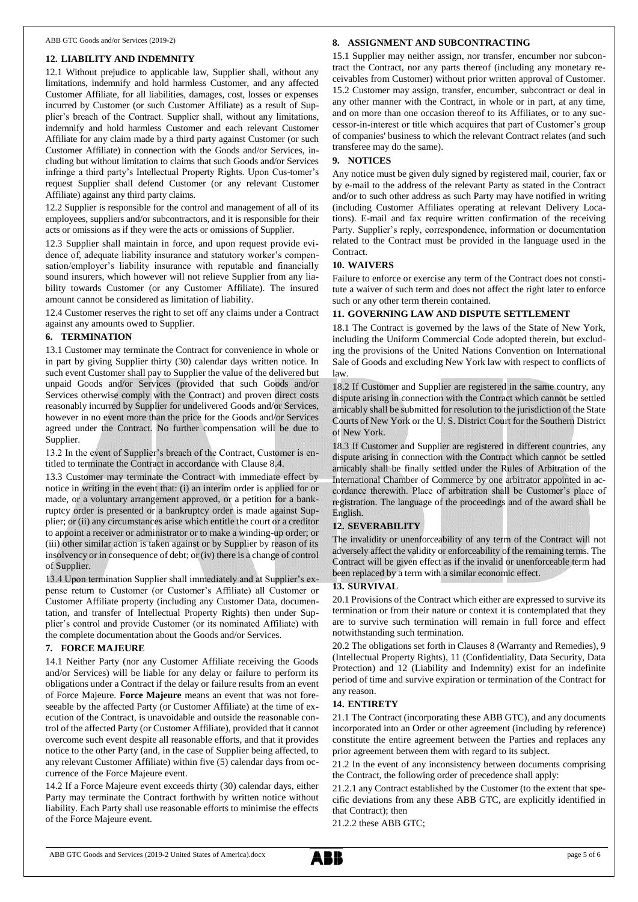#### **12. LIABILITY AND INDEMNITY**

12.1 Without prejudice to applicable law, Supplier shall, without any limitations, indemnify and hold harmless Customer, and any affected Customer Affiliate, for all liabilities, damages, cost, losses or expenses incurred by Customer (or such Customer Affiliate) as a result of Supplier's breach of the Contract. Supplier shall, without any limitations, indemnify and hold harmless Customer and each relevant Customer Affiliate for any claim made by a third party against Customer (or such Customer Affiliate) in connection with the Goods and/or Services, including but without limitation to claims that such Goods and/or Services infringe a third party's Intellectual Property Rights. Upon Cus-tomer's request Supplier shall defend Customer (or any relevant Customer Affiliate) against any third party claims.

12.2 Supplier is responsible for the control and management of all of its employees, suppliers and/or subcontractors, and it is responsible for their acts or omissions as if they were the acts or omissions of Supplier.

12.3 Supplier shall maintain in force, and upon request provide evidence of, adequate liability insurance and statutory worker's compensation/employer's liability insurance with reputable and financially sound insurers, which however will not relieve Supplier from any liability towards Customer (or any Customer Affiliate). The insured amount cannot be considered as limitation of liability.

12.4 Customer reserves the right to set off any claims under a Contract against any amounts owed to Supplier.

#### **6. TERMINATION**

13.1 Customer may terminate the Contract for convenience in whole or in part by giving Supplier thirty (30) calendar days written notice. In such event Customer shall pay to Supplier the value of the delivered but unpaid Goods and/or Services (provided that such Goods and/or Services otherwise comply with the Contract) and proven direct costs reasonably incurred by Supplier for undelivered Goods and/or Services, however in no event more than the price for the Goods and/or Services agreed under the Contract. No further compensation will be due to Supplier.

13.2 In the event of Supplier's breach of the Contract, Customer is entitled to terminate the Contract in accordance with Clause 8.4.

13.3 Customer may terminate the Contract with immediate effect by notice in writing in the event that: (i) an interim order is applied for or made, or a voluntary arrangement approved, or a petition for a bankruptcy order is presented or a bankruptcy order is made against Supplier; or (ii) any circumstances arise which entitle the court or a creditor to appoint a receiver or administrator or to make a winding-up order; or (iii) other similar action is taken against or by Supplier by reason of its insolvency or in consequence of debt; or (iv) there is a change of control of Supplier.

13.4 Upon termination Supplier shall immediately and at Supplier's expense return to Customer (or Customer's Affiliate) all Customer or Customer Affiliate property (including any Customer Data, documentation, and transfer of Intellectual Property Rights) then under Supplier's control and provide Customer (or its nominated Affiliate) with the complete documentation about the Goods and/or Services.

#### **7. FORCE MAJEURE**

14.1 Neither Party (nor any Customer Affiliate receiving the Goods and/or Services) will be liable for any delay or failure to perform its obligations under a Contract if the delay or failure results from an event of Force Majeure. **Force Majeure** means an event that was not foreseeable by the affected Party (or Customer Affiliate) at the time of execution of the Contract, is unavoidable and outside the reasonable control of the affected Party (or Customer Affiliate), provided that it cannot overcome such event despite all reasonable efforts, and that it provides notice to the other Party (and, in the case of Supplier being affected, to any relevant Customer Affiliate) within five (5) calendar days from occurrence of the Force Majeure event.

14.2 If a Force Majeure event exceeds thirty (30) calendar days, either Party may terminate the Contract forthwith by written notice without liability. Each Party shall use reasonable efforts to minimise the effects of the Force Majeure event.

#### **8. ASSIGNMENT AND SUBCONTRACTING**

15.1 Supplier may neither assign, nor transfer, encumber nor subcontract the Contract, nor any parts thereof (including any monetary receivables from Customer) without prior written approval of Customer. 15.2 Customer may assign, transfer, encumber, subcontract or deal in any other manner with the Contract, in whole or in part, at any time, and on more than one occasion thereof to its Affiliates, or to any successor-in-interest or title which acquires that part of Customer's group of companies' business to which the relevant Contract relates (and such transferee may do the same).

#### **9. NOTICES**

Any notice must be given duly signed by registered mail, courier, fax or by e-mail to the address of the relevant Party as stated in the Contract and/or to such other address as such Party may have notified in writing (including Customer Affiliates operating at relevant Delivery Locations). E-mail and fax require written confirmation of the receiving Party. Supplier's reply, correspondence, information or documentation related to the Contract must be provided in the language used in the Contract.

#### **10. WAIVERS**

Failure to enforce or exercise any term of the Contract does not constitute a waiver of such term and does not affect the right later to enforce such or any other term therein contained.

#### **11. GOVERNING LAW AND DISPUTE SETTLEMENT**

18.1 The Contract is governed by the laws of the State of New York, including the Uniform Commercial Code adopted therein, but excluding the provisions of the United Nations Convention on International Sale of Goods and excluding New York law with respect to conflicts of law.

18.2 If Customer and Supplier are registered in the same country, any dispute arising in connection with the Contract which cannot be settled amicably shall be submitted for resolution to the jurisdiction of the State Courts of New York or the U. S. District Court for the Southern District of New York.

18.3 If Customer and Supplier are registered in different countries, any dispute arising in connection with the Contract which cannot be settled amicably shall be finally settled under the Rules of Arbitration of the International Chamber of Commerce by one arbitrator appointed in accordance therewith. Place of arbitration shall be Customer's place of registration. The language of the proceedings and of the award shall be English.

#### **12. SEVERABILITY**

The invalidity or unenforceability of any term of the Contract will not adversely affect the validity or enforceability of the remaining terms. The Contract will be given effect as if the invalid or unenforceable term had been replaced by a term with a similar economic effect.

#### **13. SURVIVAL**

20.1 Provisions of the Contract which either are expressed to survive its termination or from their nature or context it is contemplated that they are to survive such termination will remain in full force and effect notwithstanding such termination.

20.2 The obligations set forth in Clauses 8 (Warranty and Remedies), 9 (Intellectual Property Rights), 11 (Confidentiality, Data Security, Data Protection) and 12 (Liability and Indemnity) exist for an indefinite period of time and survive expiration or termination of the Contract for any reason.

#### **14. ENTIRETY**

21.1 The Contract (incorporating these ABB GTC), and any documents incorporated into an Order or other agreement (including by reference) constitute the entire agreement between the Parties and replaces any prior agreement between them with regard to its subject.

21.2 In the event of any inconsistency between documents comprising the Contract, the following order of precedence shall apply:

21.2.1 any Contract established by the Customer (to the extent that specific deviations from any these ABB GTC, are explicitly identified in that Contract); then

21.2.2 these ABB GTC;